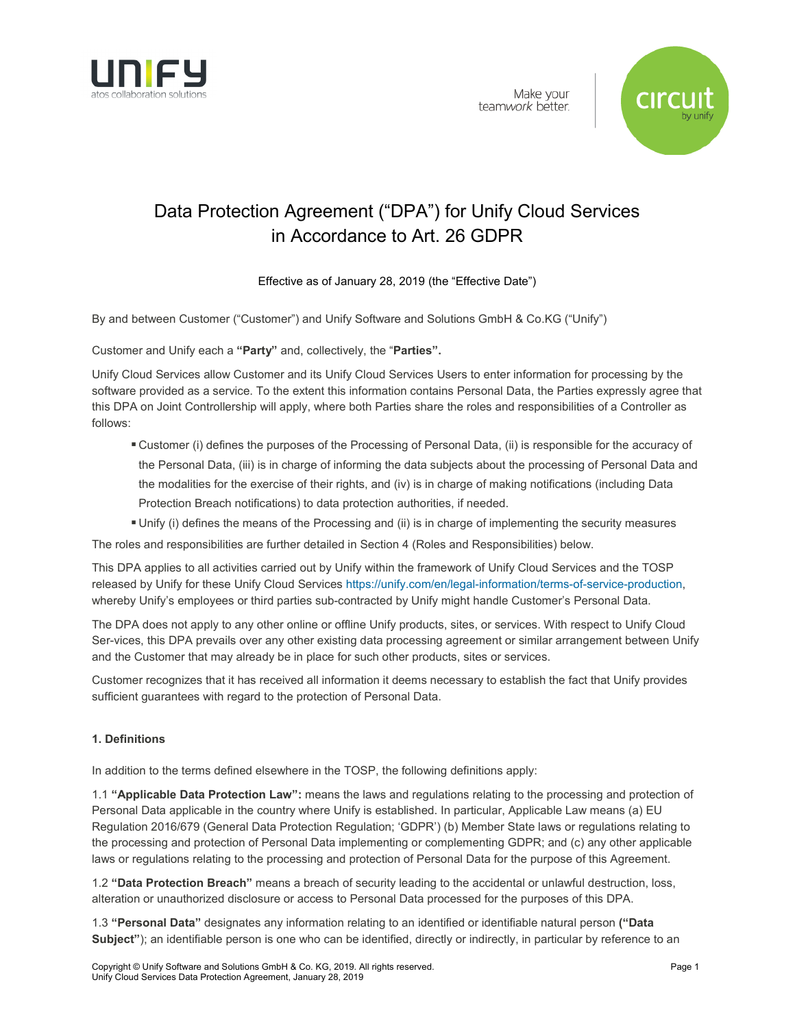



# Data Protection Agreement ("DPA") for Unify Cloud Services in Accordance to Art. 26 GDPR

Effective as of January 28, 2019 (the "Effective Date")

By and between Customer ("Customer") and Unify Software and Solutions GmbH & Co.KG ("Unify")

Customer and Unify each a **"Party"** and, collectively, the "**Parties".**

Unify Cloud Services allow Customer and its Unify Cloud Services Users to enter information for processing by the software provided as a service. To the extent this information contains Personal Data, the Parties expressly agree that this DPA on Joint Controllership will apply, where both Parties share the roles and responsibilities of a Controller as follows:

- Customer (i) defines the purposes of the Processing of Personal Data, (ii) is responsible for the accuracy of the Personal Data, (iii) is in charge of informing the data subjects about the processing of Personal Data and the modalities for the exercise of their rights, and (iv) is in charge of making notifications (including Data Protection Breach notifications) to data protection authorities, if needed.
- Unify (i) defines the means of the Processing and (ii) is in charge of implementing the security measures

The roles and responsibilities are further detailed in Section 4 (Roles and Responsibilities) below.

This DPA applies to all activities carried out by Unify within the framework of Unify Cloud Services and the TOSP released by Unify for these Unify Cloud Services [https://unify.com/en/legal-information/terms-of-service-production,](https://unify.com/en/legal-information/terms-of-service-production) whereby Unify's employees or third parties sub-contracted by Unify might handle Customer's Personal Data.

The DPA does not apply to any other online or offline Unify products, sites, or services. With respect to Unify Cloud Ser-vices, this DPA prevails over any other existing data processing agreement or similar arrangement between Unify and the Customer that may already be in place for such other products, sites or services.

Customer recognizes that it has received all information it deems necessary to establish the fact that Unify provides sufficient guarantees with regard to the protection of Personal Data.

## **1. Definitions**

In addition to the terms defined elsewhere in the TOSP, the following definitions apply:

1.1 **"Applicable Data Protection Law":** means the laws and regulations relating to the processing and protection of Personal Data applicable in the country where Unify is established. In particular, Applicable Law means (a) EU Regulation 2016/679 (General Data Protection Regulation; 'GDPR') (b) Member State laws or regulations relating to the processing and protection of Personal Data implementing or complementing GDPR; and (c) any other applicable laws or regulations relating to the processing and protection of Personal Data for the purpose of this Agreement.

1.2 **"Data Protection Breach"** means a breach of security leading to the accidental or unlawful destruction, loss, alteration or unauthorized disclosure or access to Personal Data processed for the purposes of this DPA.

1.3 **"Personal Data"** designates any information relating to an identified or identifiable natural person **("Data Subject"**); an identifiable person is one who can be identified, directly or indirectly, in particular by reference to an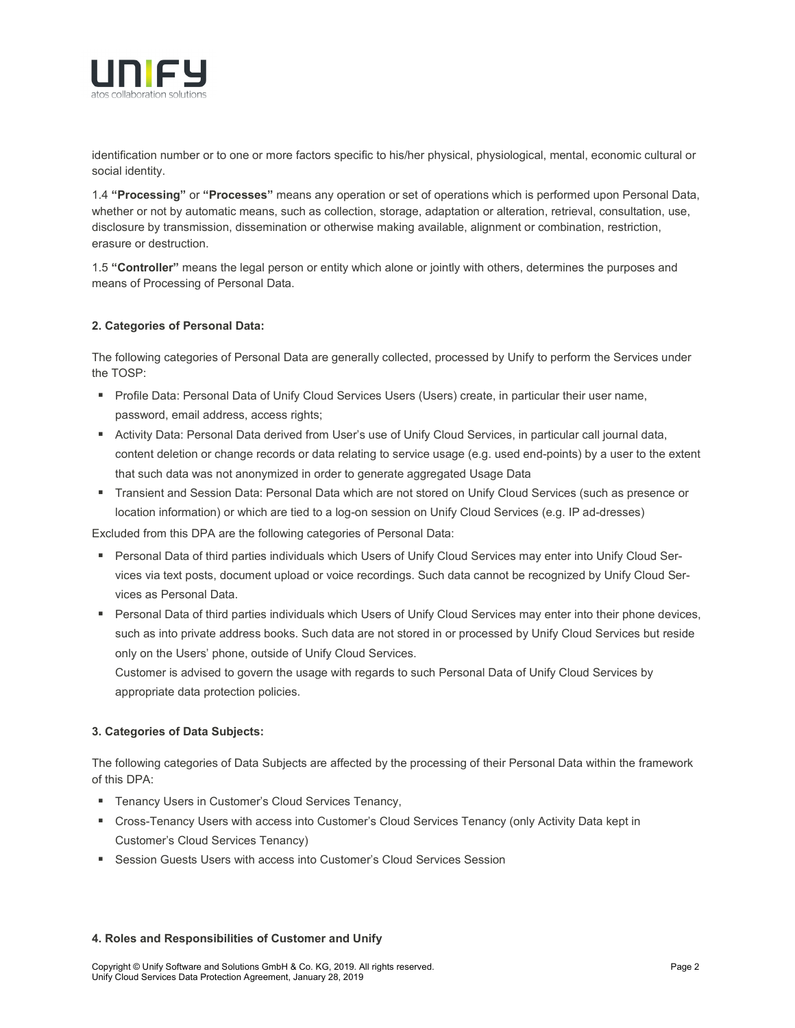

identification number or to one or more factors specific to his/her physical, physiological, mental, economic cultural or social identity.

1.4 **"Processing"** or **"Processes"** means any operation or set of operations which is performed upon Personal Data, whether or not by automatic means, such as collection, storage, adaptation or alteration, retrieval, consultation, use, disclosure by transmission, dissemination or otherwise making available, alignment or combination, restriction, erasure or destruction.

1.5 **"Controller"** means the legal person or entity which alone or jointly with others, determines the purposes and means of Processing of Personal Data.

## **2. Categories of Personal Data:**

The following categories of Personal Data are generally collected, processed by Unify to perform the Services under the TOSP:

- **Profile Data: Personal Data of Unify Cloud Services Users (Users) create, in particular their user name,** password, email address, access rights;
- Activity Data: Personal Data derived from User's use of Unify Cloud Services, in particular call journal data, content deletion or change records or data relating to service usage (e.g. used end-points) by a user to the extent that such data was not anonymized in order to generate aggregated Usage Data
- Transient and Session Data: Personal Data which are not stored on Unify Cloud Services (such as presence or location information) or which are tied to a log-on session on Unify Cloud Services (e.g. IP ad-dresses)

Excluded from this DPA are the following categories of Personal Data:

- Personal Data of third parties individuals which Users of Unify Cloud Services may enter into Unify Cloud Services via text posts, document upload or voice recordings. Such data cannot be recognized by Unify Cloud Services as Personal Data.
- Personal Data of third parties individuals which Users of Unify Cloud Services may enter into their phone devices, such as into private address books. Such data are not stored in or processed by Unify Cloud Services but reside only on the Users' phone, outside of Unify Cloud Services.

Customer is advised to govern the usage with regards to such Personal Data of Unify Cloud Services by appropriate data protection policies.

## **3. Categories of Data Subjects:**

The following categories of Data Subjects are affected by the processing of their Personal Data within the framework of this DPA:

- **Tenancy Users in Customer's Cloud Services Tenancy,**
- Cross-Tenancy Users with access into Customer's Cloud Services Tenancy (only Activity Data kept in Customer's Cloud Services Tenancy)
- Session Guests Users with access into Customer's Cloud Services Session

### **4. Roles and Responsibilities of Customer and Unify**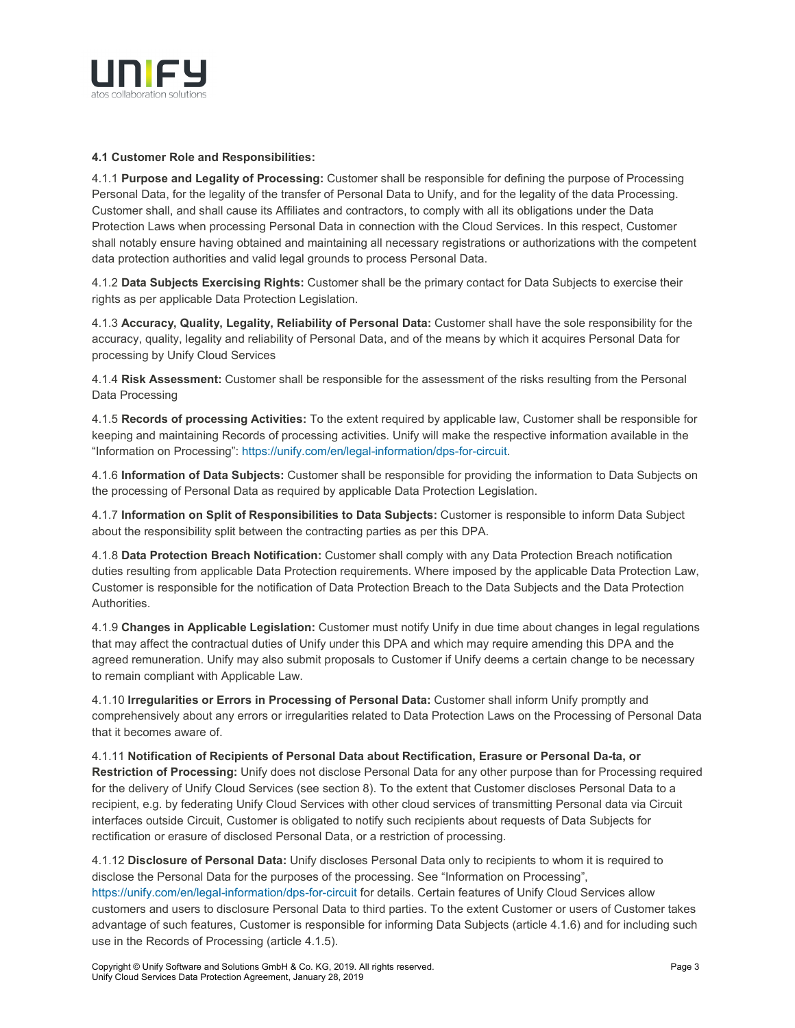

## **4.1 Customer Role and Responsibilities:**

4.1.1 **Purpose and Legality of Processing:** Customer shall be responsible for defining the purpose of Processing Personal Data, for the legality of the transfer of Personal Data to Unify, and for the legality of the data Processing. Customer shall, and shall cause its Affiliates and contractors, to comply with all its obligations under the Data Protection Laws when processing Personal Data in connection with the Cloud Services. In this respect, Customer shall notably ensure having obtained and maintaining all necessary registrations or authorizations with the competent data protection authorities and valid legal grounds to process Personal Data.

4.1.2 **Data Subjects Exercising Rights:** Customer shall be the primary contact for Data Subjects to exercise their rights as per applicable Data Protection Legislation.

4.1.3 **Accuracy, Quality, Legality, Reliability of Personal Data:** Customer shall have the sole responsibility for the accuracy, quality, legality and reliability of Personal Data, and of the means by which it acquires Personal Data for processing by Unify Cloud Services

4.1.4 **Risk Assessment:** Customer shall be responsible for the assessment of the risks resulting from the Personal Data Processing

4.1.5 **Records of processing Activities:** To the extent required by applicable law, Customer shall be responsible for keeping and maintaining Records of processing activities. Unify will make the respective information available in the "Information on Processing": [https://unify.com/en/legal-information/dps-for-circuit.](https://unify.com/en/legal-information/dps-for-circuit)

4.1.6 **Information of Data Subjects:** Customer shall be responsible for providing the information to Data Subjects on the processing of Personal Data as required by applicable Data Protection Legislation.

4.1.7 **Information on Split of Responsibilities to Data Subjects:** Customer is responsible to inform Data Subject about the responsibility split between the contracting parties as per this DPA.

4.1.8 **Data Protection Breach Notification:** Customer shall comply with any Data Protection Breach notification duties resulting from applicable Data Protection requirements. Where imposed by the applicable Data Protection Law, Customer is responsible for the notification of Data Protection Breach to the Data Subjects and the Data Protection **Authorities** 

4.1.9 **Changes in Applicable Legislation:** Customer must notify Unify in due time about changes in legal regulations that may affect the contractual duties of Unify under this DPA and which may require amending this DPA and the agreed remuneration. Unify may also submit proposals to Customer if Unify deems a certain change to be necessary to remain compliant with Applicable Law.

4.1.10 **Irregularities or Errors in Processing of Personal Data:** Customer shall inform Unify promptly and comprehensively about any errors or irregularities related to Data Protection Laws on the Processing of Personal Data that it becomes aware of.

4.1.11 **Notification of Recipients of Personal Data about Rectification, Erasure or Personal Da-ta, or Restriction of Processing:** Unify does not disclose Personal Data for any other purpose than for Processing required for the delivery of Unify Cloud Services (see section 8). To the extent that Customer discloses Personal Data to a recipient, e.g. by federating Unify Cloud Services with other cloud services of transmitting Personal data via Circuit interfaces outside Circuit, Customer is obligated to notify such recipients about requests of Data Subjects for rectification or erasure of disclosed Personal Data, or a restriction of processing.

4.1.12 **Disclosure of Personal Data:** Unify discloses Personal Data only to recipients to whom it is required to disclose the Personal Data for the purposes of the processing. See "Information on Processing", <https://unify.com/en/legal-information/dps-for-circuit> for details. Certain features of Unify Cloud Services allow customers and users to disclosure Personal Data to third parties. To the extent Customer or users of Customer takes advantage of such features, Customer is responsible for informing Data Subjects (article 4.1.6) and for including such use in the Records of Processing (article 4.1.5).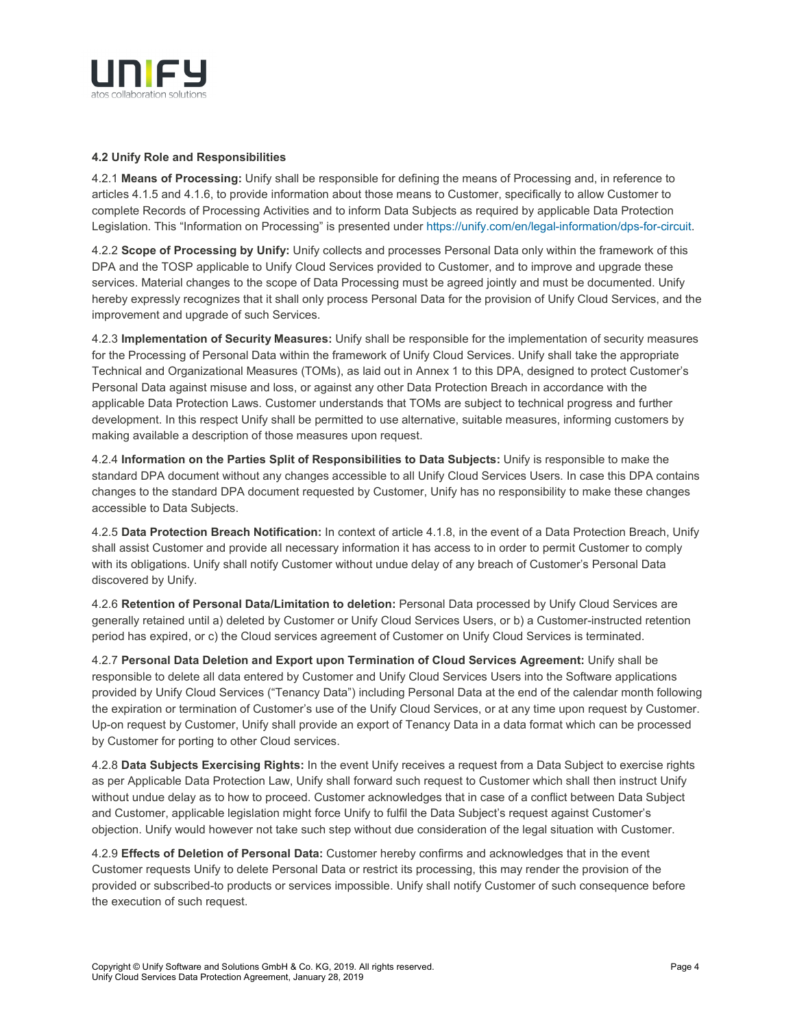

## **4.2 Unify Role and Responsibilities**

4.2.1 **Means of Processing:** Unify shall be responsible for defining the means of Processing and, in reference to articles 4.1.5 and 4.1.6, to provide information about those means to Customer, specifically to allow Customer to complete Records of Processing Activities and to inform Data Subjects as required by applicable Data Protection Legislation. This "Information on Processing" is presented unde[r https://unify.com/en/legal-information/dps-for-circuit.](https://unify.com/en/legal-information/dps-for-circuit)

4.2.2 **Scope of Processing by Unify:** Unify collects and processes Personal Data only within the framework of this DPA and the TOSP applicable to Unify Cloud Services provided to Customer, and to improve and upgrade these services. Material changes to the scope of Data Processing must be agreed jointly and must be documented. Unify hereby expressly recognizes that it shall only process Personal Data for the provision of Unify Cloud Services, and the improvement and upgrade of such Services.

4.2.3 **Implementation of Security Measures:** Unify shall be responsible for the implementation of security measures for the Processing of Personal Data within the framework of Unify Cloud Services. Unify shall take the appropriate Technical and Organizational Measures (TOMs), as laid out in Annex 1 to this DPA, designed to protect Customer's Personal Data against misuse and loss, or against any other Data Protection Breach in accordance with the applicable Data Protection Laws. Customer understands that TOMs are subject to technical progress and further development. In this respect Unify shall be permitted to use alternative, suitable measures, informing customers by making available a description of those measures upon request.

4.2.4 **Information on the Parties Split of Responsibilities to Data Subjects:** Unify is responsible to make the standard DPA document without any changes accessible to all Unify Cloud Services Users. In case this DPA contains changes to the standard DPA document requested by Customer, Unify has no responsibility to make these changes accessible to Data Subjects.

4.2.5 **Data Protection Breach Notification:** In context of article 4.1.8, in the event of a Data Protection Breach, Unify shall assist Customer and provide all necessary information it has access to in order to permit Customer to comply with its obligations. Unify shall notify Customer without undue delay of any breach of Customer's Personal Data discovered by Unify.

4.2.6 **Retention of Personal Data/Limitation to deletion:** Personal Data processed by Unify Cloud Services are generally retained until a) deleted by Customer or Unify Cloud Services Users, or b) a Customer-instructed retention period has expired, or c) the Cloud services agreement of Customer on Unify Cloud Services is terminated.

4.2.7 **Personal Data Deletion and Export upon Termination of Cloud Services Agreement:** Unify shall be responsible to delete all data entered by Customer and Unify Cloud Services Users into the Software applications provided by Unify Cloud Services ("Tenancy Data") including Personal Data at the end of the calendar month following the expiration or termination of Customer's use of the Unify Cloud Services, or at any time upon request by Customer. Up-on request by Customer, Unify shall provide an export of Tenancy Data in a data format which can be processed by Customer for porting to other Cloud services.

4.2.8 **Data Subjects Exercising Rights:** In the event Unify receives a request from a Data Subject to exercise rights as per Applicable Data Protection Law, Unify shall forward such request to Customer which shall then instruct Unify without undue delay as to how to proceed. Customer acknowledges that in case of a conflict between Data Subject and Customer, applicable legislation might force Unify to fulfil the Data Subject's request against Customer's objection. Unify would however not take such step without due consideration of the legal situation with Customer.

4.2.9 **Effects of Deletion of Personal Data:** Customer hereby confirms and acknowledges that in the event Customer requests Unify to delete Personal Data or restrict its processing, this may render the provision of the provided or subscribed-to products or services impossible. Unify shall notify Customer of such consequence before the execution of such request.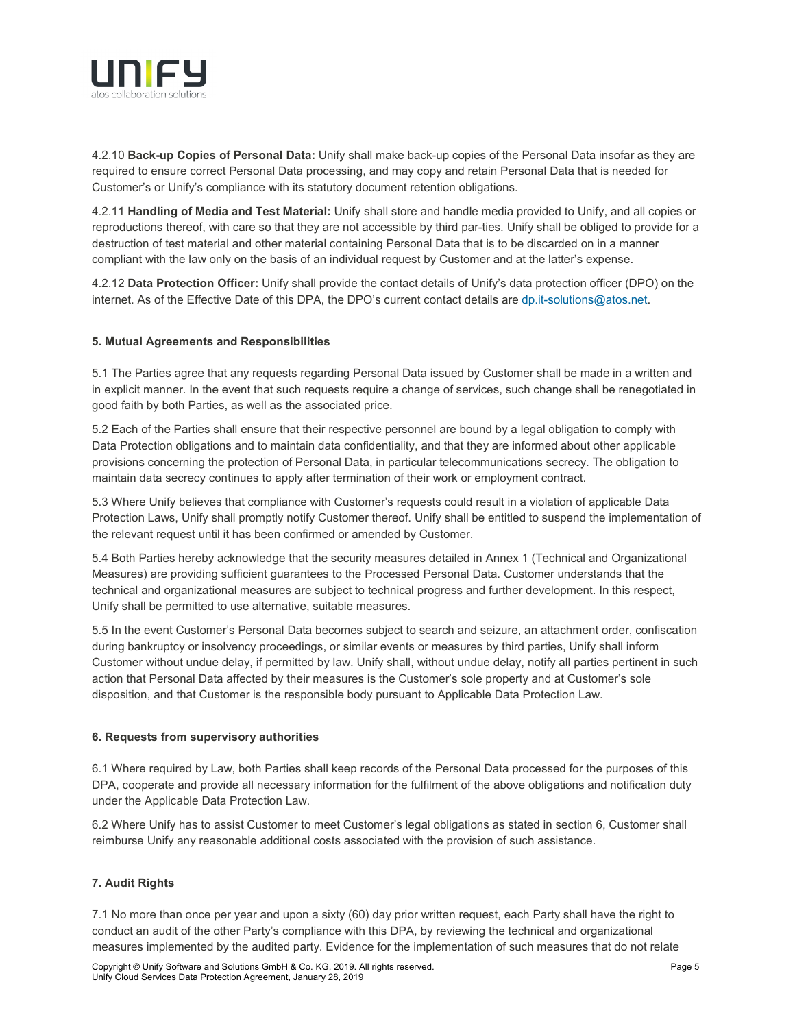

4.2.10 **Back-up Copies of Personal Data:** Unify shall make back-up copies of the Personal Data insofar as they are required to ensure correct Personal Data processing, and may copy and retain Personal Data that is needed for Customer's or Unify's compliance with its statutory document retention obligations.

4.2.11 **Handling of Media and Test Material:** Unify shall store and handle media provided to Unify, and all copies or reproductions thereof, with care so that they are not accessible by third par-ties. Unify shall be obliged to provide for a destruction of test material and other material containing Personal Data that is to be discarded on in a manner compliant with the law only on the basis of an individual request by Customer and at the latter's expense.

4.2.12 **Data Protection Officer:** Unify shall provide the contact details of Unify's data protection officer (DPO) on the internet. As of the Effective Date of this DPA, the DPO's current contact details are [dp.it-solutions@atos.net.](mailto:dp.it-solutions@atos.net)

## **5. Mutual Agreements and Responsibilities**

5.1 The Parties agree that any requests regarding Personal Data issued by Customer shall be made in a written and in explicit manner. In the event that such requests require a change of services, such change shall be renegotiated in good faith by both Parties, as well as the associated price.

5.2 Each of the Parties shall ensure that their respective personnel are bound by a legal obligation to comply with Data Protection obligations and to maintain data confidentiality, and that they are informed about other applicable provisions concerning the protection of Personal Data, in particular telecommunications secrecy. The obligation to maintain data secrecy continues to apply after termination of their work or employment contract.

5.3 Where Unify believes that compliance with Customer's requests could result in a violation of applicable Data Protection Laws, Unify shall promptly notify Customer thereof. Unify shall be entitled to suspend the implementation of the relevant request until it has been confirmed or amended by Customer.

5.4 Both Parties hereby acknowledge that the security measures detailed in Annex 1 (Technical and Organizational Measures) are providing sufficient guarantees to the Processed Personal Data. Customer understands that the technical and organizational measures are subject to technical progress and further development. In this respect, Unify shall be permitted to use alternative, suitable measures.

5.5 In the event Customer's Personal Data becomes subject to search and seizure, an attachment order, confiscation during bankruptcy or insolvency proceedings, or similar events or measures by third parties, Unify shall inform Customer without undue delay, if permitted by law. Unify shall, without undue delay, notify all parties pertinent in such action that Personal Data affected by their measures is the Customer's sole property and at Customer's sole disposition, and that Customer is the responsible body pursuant to Applicable Data Protection Law.

## **6. Requests from supervisory authorities**

6.1 Where required by Law, both Parties shall keep records of the Personal Data processed for the purposes of this DPA, cooperate and provide all necessary information for the fulfilment of the above obligations and notification duty under the Applicable Data Protection Law.

6.2 Where Unify has to assist Customer to meet Customer's legal obligations as stated in section 6, Customer shall reimburse Unify any reasonable additional costs associated with the provision of such assistance.

## **7. Audit Rights**

7.1 No more than once per year and upon a sixty (60) day prior written request, each Party shall have the right to conduct an audit of the other Party's compliance with this DPA, by reviewing the technical and organizational measures implemented by the audited party. Evidence for the implementation of such measures that do not relate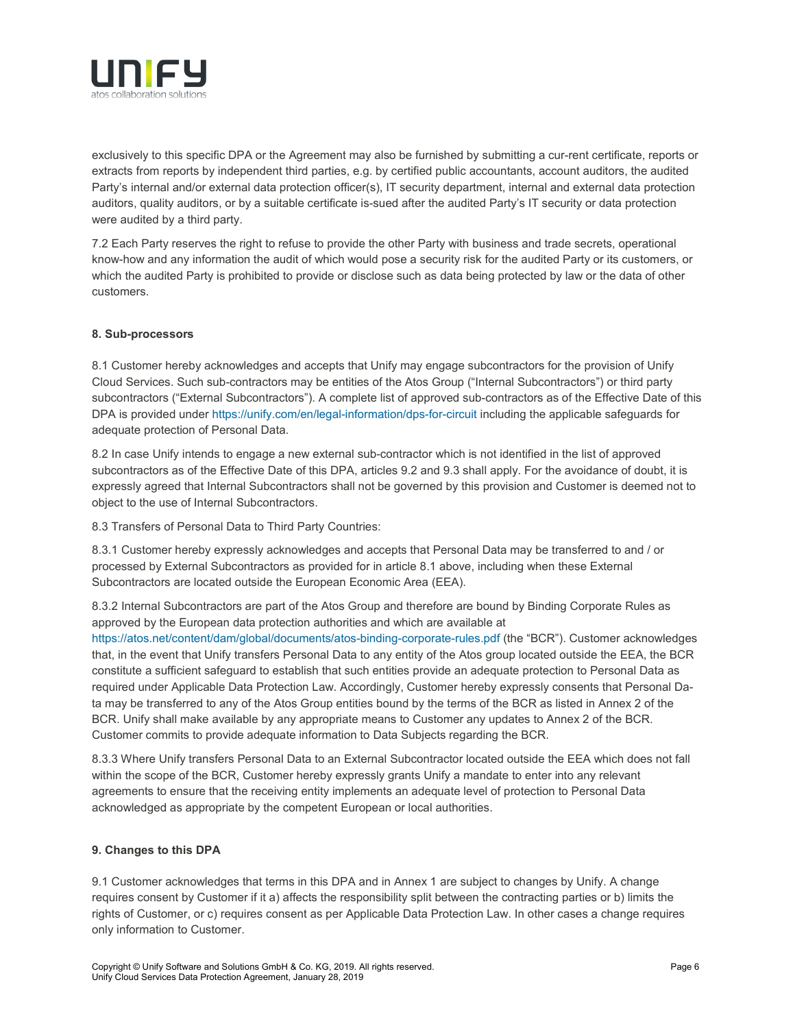

exclusively to this specific DPA or the Agreement may also be furnished by submitting a cur-rent certificate, reports or extracts from reports by independent third parties, e.g. by certified public accountants, account auditors, the audited Party's internal and/or external data protection officer(s), IT security department, internal and external data protection auditors, quality auditors, or by a suitable certificate is-sued after the audited Party's IT security or data protection were audited by a third party.

7.2 Each Party reserves the right to refuse to provide the other Party with business and trade secrets, operational know-how and any information the audit of which would pose a security risk for the audited Party or its customers, or which the audited Party is prohibited to provide or disclose such as data being protected by law or the data of other customers.

## **8. Sub-processors**

8.1 Customer hereby acknowledges and accepts that Unify may engage subcontractors for the provision of Unify Cloud Services. Such sub-contractors may be entities of the Atos Group ("Internal Subcontractors") or third party subcontractors ("External Subcontractors"). A complete list of approved sub-contractors as of the Effective Date of this DPA is provided under<https://unify.com/en/legal-information/dps-for-circuit> including the applicable safeguards for adequate protection of Personal Data.

8.2 In case Unify intends to engage a new external sub-contractor which is not identified in the list of approved subcontractors as of the Effective Date of this DPA, articles 9.2 and 9.3 shall apply. For the avoidance of doubt, it is expressly agreed that Internal Subcontractors shall not be governed by this provision and Customer is deemed not to object to the use of Internal Subcontractors.

8.3 Transfers of Personal Data to Third Party Countries:

8.3.1 Customer hereby expressly acknowledges and accepts that Personal Data may be transferred to and / or processed by External Subcontractors as provided for in article 8.1 above, including when these External Subcontractors are located outside the European Economic Area (EEA).

8.3.2 Internal Subcontractors are part of the Atos Group and therefore are bound by Binding Corporate Rules as approved by the European data protection authorities and which are available at

<https://atos.net/content/dam/global/documents/atos-binding-corporate-rules.pdf> (the "BCR"). Customer acknowledges that, in the event that Unify transfers Personal Data to any entity of the Atos group located outside the EEA, the BCR constitute a sufficient safeguard to establish that such entities provide an adequate protection to Personal Data as required under Applicable Data Protection Law. Accordingly, Customer hereby expressly consents that Personal Data may be transferred to any of the Atos Group entities bound by the terms of the BCR as listed in Annex 2 of the BCR. Unify shall make available by any appropriate means to Customer any updates to Annex 2 of the BCR. Customer commits to provide adequate information to Data Subjects regarding the BCR.

8.3.3 Where Unify transfers Personal Data to an External Subcontractor located outside the EEA which does not fall within the scope of the BCR, Customer hereby expressly grants Unify a mandate to enter into any relevant agreements to ensure that the receiving entity implements an adequate level of protection to Personal Data acknowledged as appropriate by the competent European or local authorities.

## **9. Changes to this DPA**

9.1 Customer acknowledges that terms in this DPA and in Annex 1 are subject to changes by Unify. A change requires consent by Customer if it a) affects the responsibility split between the contracting parties or b) limits the rights of Customer, or c) requires consent as per Applicable Data Protection Law. In other cases a change requires only information to Customer.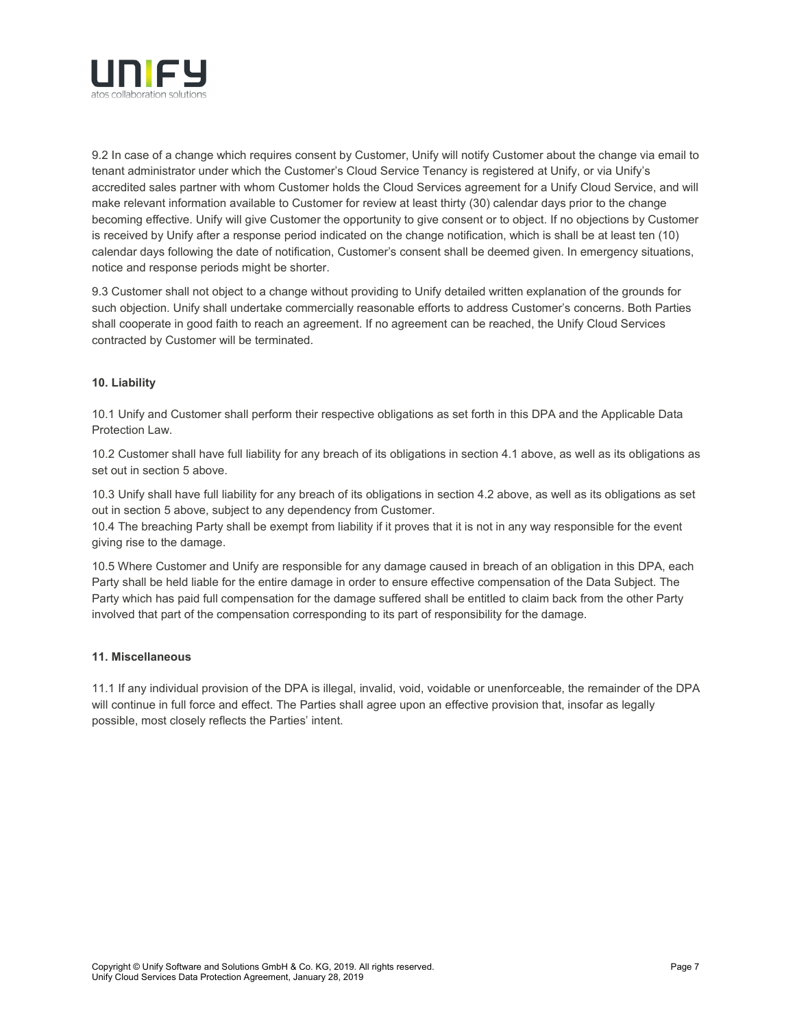

9.2 In case of a change which requires consent by Customer, Unify will notify Customer about the change via email to tenant administrator under which the Customer's Cloud Service Tenancy is registered at Unify, or via Unify's accredited sales partner with whom Customer holds the Cloud Services agreement for a Unify Cloud Service, and will make relevant information available to Customer for review at least thirty (30) calendar days prior to the change becoming effective. Unify will give Customer the opportunity to give consent or to object. If no objections by Customer is received by Unify after a response period indicated on the change notification, which is shall be at least ten (10) calendar days following the date of notification, Customer's consent shall be deemed given. In emergency situations, notice and response periods might be shorter.

9.3 Customer shall not object to a change without providing to Unify detailed written explanation of the grounds for such objection. Unify shall undertake commercially reasonable efforts to address Customer's concerns. Both Parties shall cooperate in good faith to reach an agreement. If no agreement can be reached, the Unify Cloud Services contracted by Customer will be terminated.

## **10. Liability**

10.1 Unify and Customer shall perform their respective obligations as set forth in this DPA and the Applicable Data Protection Law.

10.2 Customer shall have full liability for any breach of its obligations in section 4.1 above, as well as its obligations as set out in section 5 above.

10.3 Unify shall have full liability for any breach of its obligations in section 4.2 above, as well as its obligations as set out in section 5 above, subject to any dependency from Customer.

10.4 The breaching Party shall be exempt from liability if it proves that it is not in any way responsible for the event giving rise to the damage.

10.5 Where Customer and Unify are responsible for any damage caused in breach of an obligation in this DPA, each Party shall be held liable for the entire damage in order to ensure effective compensation of the Data Subject. The Party which has paid full compensation for the damage suffered shall be entitled to claim back from the other Party involved that part of the compensation corresponding to its part of responsibility for the damage.

## **11. Miscellaneous**

11.1 If any individual provision of the DPA is illegal, invalid, void, voidable or unenforceable, the remainder of the DPA will continue in full force and effect. The Parties shall agree upon an effective provision that, insofar as legally possible, most closely reflects the Parties' intent.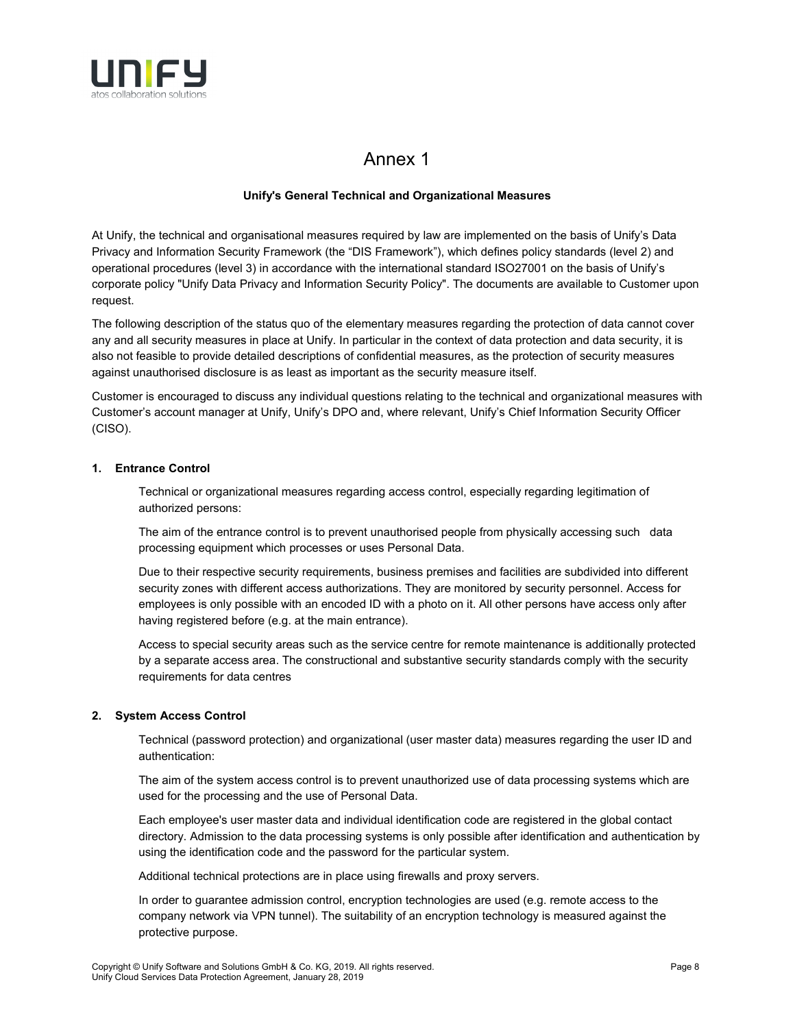

## Annex 1

## **Unify's General Technical and Organizational Measures**

At Unify, the technical and organisational measures required by law are implemented on the basis of Unify's Data Privacy and Information Security Framework (the "DIS Framework"), which defines policy standards (level 2) and operational procedures (level 3) in accordance with the international standard ISO27001 on the basis of Unify's corporate policy "Unify Data Privacy and Information Security Policy". The documents are available to Customer upon request.

The following description of the status quo of the elementary measures regarding the protection of data cannot cover any and all security measures in place at Unify. In particular in the context of data protection and data security, it is also not feasible to provide detailed descriptions of confidential measures, as the protection of security measures against unauthorised disclosure is as least as important as the security measure itself.

Customer is encouraged to discuss any individual questions relating to the technical and organizational measures with Customer's account manager at Unify, Unify's DPO and, where relevant, Unify's Chief Information Security Officer (CISO).

## **1. Entrance Control**

Technical or organizational measures regarding access control, especially regarding legitimation of authorized persons:

The aim of the entrance control is to prevent unauthorised people from physically accessing such data processing equipment which processes or uses Personal Data.

Due to their respective security requirements, business premises and facilities are subdivided into different security zones with different access authorizations. They are monitored by security personnel. Access for employees is only possible with an encoded ID with a photo on it. All other persons have access only after having registered before (e.g. at the main entrance).

Access to special security areas such as the service centre for remote maintenance is additionally protected by a separate access area. The constructional and substantive security standards comply with the security requirements for data centres

## **2. System Access Control**

Technical (password protection) and organizational (user master data) measures regarding the user ID and authentication:

The aim of the system access control is to prevent unauthorized use of data processing systems which are used for the processing and the use of Personal Data.

Each employee's user master data and individual identification code are registered in the global contact directory. Admission to the data processing systems is only possible after identification and authentication by using the identification code and the password for the particular system.

Additional technical protections are in place using firewalls and proxy servers.

In order to guarantee admission control, encryption technologies are used (e.g. remote access to the company network via VPN tunnel). The suitability of an encryption technology is measured against the protective purpose.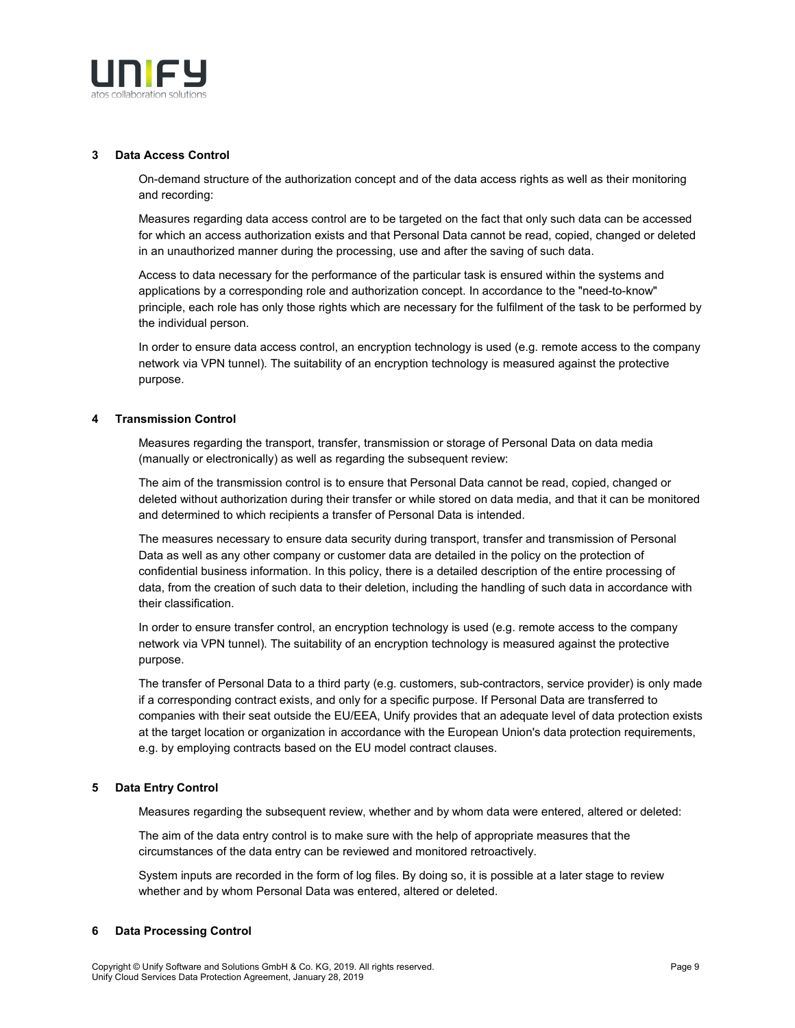

#### **3 Data Access Control**

On-demand structure of the authorization concept and of the data access rights as well as their monitoring and recording:

Measures regarding data access control are to be targeted on the fact that only such data can be accessed for which an access authorization exists and that Personal Data cannot be read, copied, changed or deleted in an unauthorized manner during the processing, use and after the saving of such data.

Access to data necessary for the performance of the particular task is ensured within the systems and applications by a corresponding role and authorization concept. In accordance to the "need-to-know" principle, each role has only those rights which are necessary for the fulfilment of the task to be performed by the individual person.

In order to ensure data access control, an encryption technology is used (e.g. remote access to the company network via VPN tunnel). The suitability of an encryption technology is measured against the protective purpose.

### **4 Transmission Control**

Measures regarding the transport, transfer, transmission or storage of Personal Data on data media (manually or electronically) as well as regarding the subsequent review:

The aim of the transmission control is to ensure that Personal Data cannot be read, copied, changed or deleted without authorization during their transfer or while stored on data media, and that it can be monitored and determined to which recipients a transfer of Personal Data is intended.

The measures necessary to ensure data security during transport, transfer and transmission of Personal Data as well as any other company or customer data are detailed in the policy on the protection of confidential business information. In this policy, there is a detailed description of the entire processing of data, from the creation of such data to their deletion, including the handling of such data in accordance with their classification.

In order to ensure transfer control, an encryption technology is used (e.g. remote access to the company network via VPN tunnel). The suitability of an encryption technology is measured against the protective purpose.

The transfer of Personal Data to a third party (e.g. customers, sub-contractors, service provider) is only made if a corresponding contract exists, and only for a specific purpose. If Personal Data are transferred to companies with their seat outside the EU/EEA, Unify provides that an adequate level of data protection exists at the target location or organization in accordance with the European Union's data protection requirements, e.g. by employing contracts based on the EU model contract clauses.

### **5 Data Entry Control**

Measures regarding the subsequent review, whether and by whom data were entered, altered or deleted:

The aim of the data entry control is to make sure with the help of appropriate measures that the circumstances of the data entry can be reviewed and monitored retroactively.

System inputs are recorded in the form of log files. By doing so, it is possible at a later stage to review whether and by whom Personal Data was entered, altered or deleted.

### **6 Data Processing Control**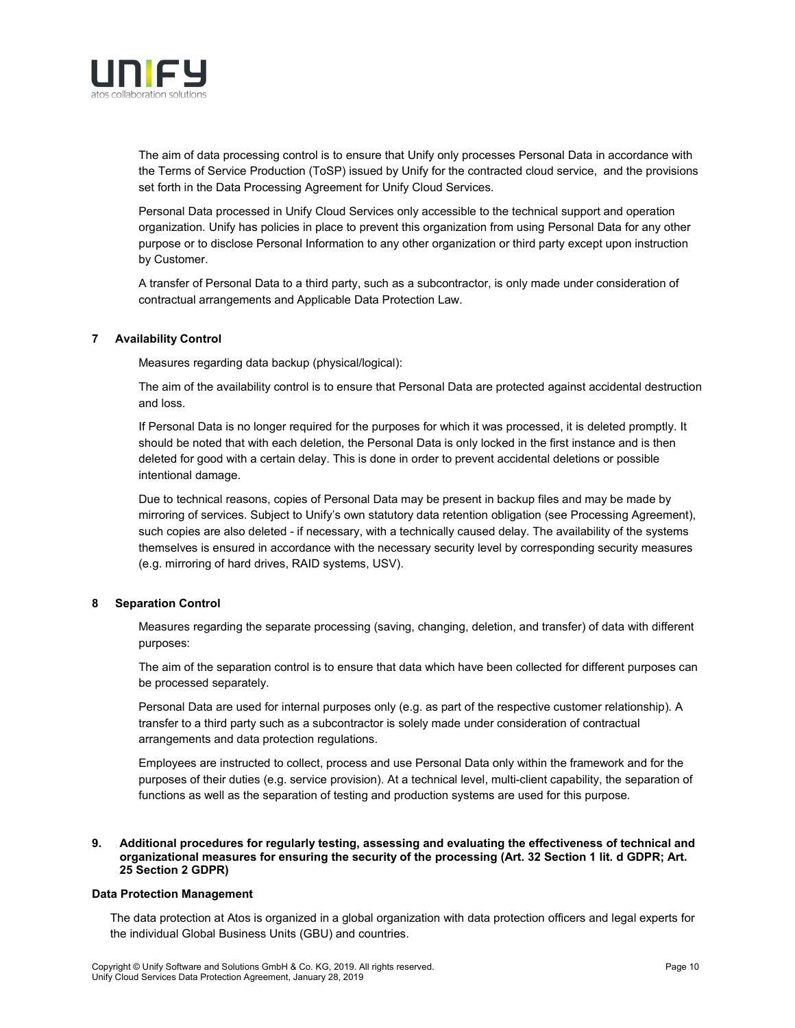

The aim of data processing control is to ensure that Unify only processes Personal Data in accordance with the Terms of Service Production (ToSP) issued by Unify for the contracted cloud service, and the provisions set forth in the Data Processing Agreement for Unify Cloud Services.

Personal Data processed in Unify Cloud Services only accessible to the technical support and operation organization. Unify has policies in place to prevent this organization from using Personal Data for any other purpose or to disclose Personal Information to any other organization or third party except upon instruction by Customer.

A transfer of Personal Data to a third party, such as a subcontractor, is only made under consideration of contractual arrangements and Applicable Data Protection Law.

### **7 Availability Control**

Measures regarding data backup (physical/logical):

The aim of the availability control is to ensure that Personal Data are protected against accidental destruction and loss.

If Personal Data is no longer required for the purposes for which it was processed, it is deleted promptly. It should be noted that with each deletion, the Personal Data is only locked in the first instance and is then deleted for good with a certain delay. This is done in order to prevent accidental deletions or possible intentional damage.

Due to technical reasons, copies of Personal Data may be present in backup files and may be made by mirroring of services. Subject to Unify's own statutory data retention obligation (see Processing Agreement), such copies are also deleted - if necessary, with a technically caused delay. The availability of the systems themselves is ensured in accordance with the necessary security level by corresponding security measures (e.g. mirroring of hard drives, RAID systems, USV).

### **8 Separation Control**

Measures regarding the separate processing (saving, changing, deletion, and transfer) of data with different purposes:

The aim of the separation control is to ensure that data which have been collected for different purposes can be processed separately.

Personal Data are used for internal purposes only (e.g. as part of the respective customer relationship). A transfer to a third party such as a subcontractor is solely made under consideration of contractual arrangements and data protection regulations.

Employees are instructed to collect, process and use Personal Data only within the framework and for the purposes of their duties (e.g. service provision). At a technical level, multi-client capability, the separation of functions as well as the separation of testing and production systems are used for this purpose.

#### **9. Additional procedures for regularly testing, assessing and evaluating the effectiveness of technical and organizational measures for ensuring the security of the processing (Art. 32 Section 1 lit. d GDPR; Art. 25 Section 2 GDPR)**

### **Data Protection Management**

The data protection at Atos is organized in a global organization with data protection officers and legal experts for the individual Global Business Units (GBU) and countries.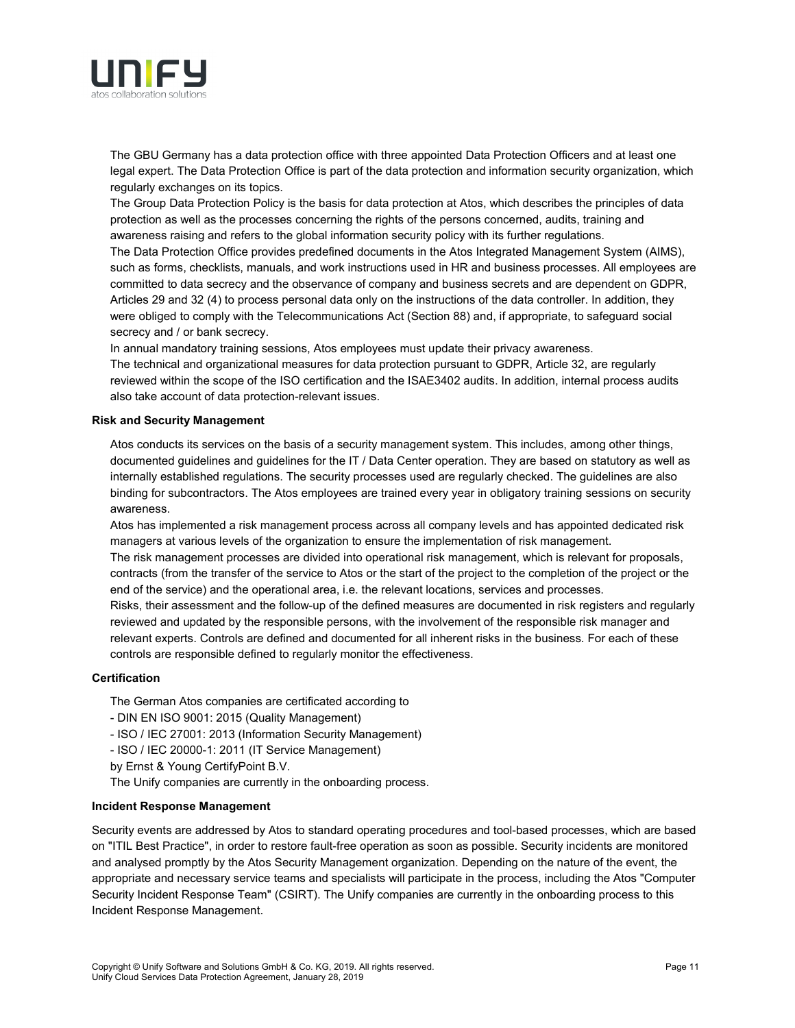

The GBU Germany has a data protection office with three appointed Data Protection Officers and at least one legal expert. The Data Protection Office is part of the data protection and information security organization, which regularly exchanges on its topics.

The Group Data Protection Policy is the basis for data protection at Atos, which describes the principles of data protection as well as the processes concerning the rights of the persons concerned, audits, training and awareness raising and refers to the global information security policy with its further regulations.

The Data Protection Office provides predefined documents in the Atos Integrated Management System (AIMS), such as forms, checklists, manuals, and work instructions used in HR and business processes. All employees are committed to data secrecy and the observance of company and business secrets and are dependent on GDPR, Articles 29 and 32 (4) to process personal data only on the instructions of the data controller. In addition, they were obliged to comply with the Telecommunications Act (Section 88) and, if appropriate, to safeguard social secrecy and / or bank secrecy.

In annual mandatory training sessions, Atos employees must update their privacy awareness.

The technical and organizational measures for data protection pursuant to GDPR, Article 32, are regularly reviewed within the scope of the ISO certification and the ISAE3402 audits. In addition, internal process audits also take account of data protection-relevant issues.

### **Risk and Security Management**

Atos conducts its services on the basis of a security management system. This includes, among other things, documented guidelines and guidelines for the IT / Data Center operation. They are based on statutory as well as internally established regulations. The security processes used are regularly checked. The guidelines are also binding for subcontractors. The Atos employees are trained every year in obligatory training sessions on security awareness.

Atos has implemented a risk management process across all company levels and has appointed dedicated risk managers at various levels of the organization to ensure the implementation of risk management.

The risk management processes are divided into operational risk management, which is relevant for proposals, contracts (from the transfer of the service to Atos or the start of the project to the completion of the project or the end of the service) and the operational area, i.e. the relevant locations, services and processes.

Risks, their assessment and the follow-up of the defined measures are documented in risk registers and regularly reviewed and updated by the responsible persons, with the involvement of the responsible risk manager and relevant experts. Controls are defined and documented for all inherent risks in the business. For each of these controls are responsible defined to regularly monitor the effectiveness.

### **Certification**

The German Atos companies are certificated according to

- DIN EN ISO 9001: 2015 (Quality Management)
- ISO / IEC 27001: 2013 (Information Security Management)
- ISO / IEC 20000-1: 2011 (IT Service Management)
- by Ernst & Young CertifyPoint B.V.
- The Unify companies are currently in the onboarding process.

## **Incident Response Management**

Security events are addressed by Atos to standard operating procedures and tool-based processes, which are based on "ITIL Best Practice", in order to restore fault-free operation as soon as possible. Security incidents are monitored and analysed promptly by the Atos Security Management organization. Depending on the nature of the event, the appropriate and necessary service teams and specialists will participate in the process, including the Atos "Computer Security Incident Response Team" (CSIRT). The Unify companies are currently in the onboarding process to this Incident Response Management.